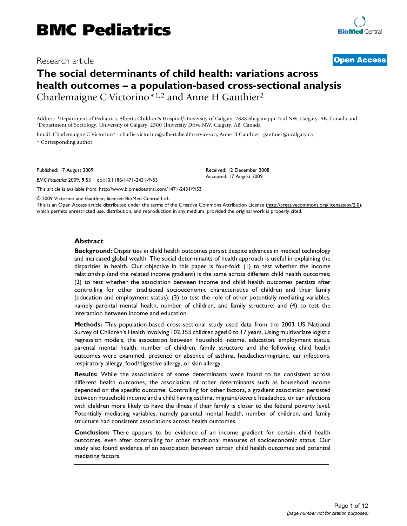# Research article

# **[Open Access](http://www.biomedcentral.com/info/about/charter/)**

# **The social determinants of child health: variations across health outcomes – a population-based cross-sectional analysis** Charlemaigne C Victorino\*1,2 and Anne H Gauthier2

Address: <sup>1</sup>Department of Pediatrics, Alberta Children's Hospital/University of Calgary, 2888 Shaganappi Trail NW, Calgary, AB, Canada and <sup>2</sup>Department of Sociology, University of Calgary, 2500 University Drive NW, Calgar

Email: Charlemaigne C Victorino\* - charlie.victorino@albertahealthservices.ca; Anne H Gauthier - gauthier@ucalgary.ca \* Corresponding author

Published: 17 August 2009

*BMC Pediatrics* 2009, **9**:53 doi:10.1186/1471-2431-9-53

[This article is available from: http://www.biomedcentral.com/1471-2431/9/53](http://www.biomedcentral.com/1471-2431/9/53)

© 2009 Victorino and Gauthier; licensee BioMed Central Ltd.

This is an Open Access article distributed under the terms of the Creative Commons Attribution License [\(http://creativecommons.org/licenses/by/2.0\)](http://creativecommons.org/licenses/by/2.0), which permits unrestricted use, distribution, and reproduction in any medium, provided the original work is properly cited.

Received: 12 December 2008 Accepted: 17 August 2009

#### **Abstract**

**Background:** Disparities in child health outcomes persist despite advances in medical technology and increased global wealth. The social determinants of health approach is useful in explaining the disparities in health. Our objective in this paper is four-fold: (1) to test whether the income relationship (and the related income gradient) is the same across different child health outcomes; (2) to test whether the association between income and child health outcomes persists after controlling for other traditional socioeconomic characteristics of children and their family (education and employment status); (3) to test the role of other potentially mediating variables, namely parental mental health, number of children, and family structure; and (4) to test the interaction between income and education.

**Methods:** This population-based cross-sectional study used data from the 2003 US National Survey of Children's Health involving 102,353 children aged 0 to 17 years. Using multivariate logistic regression models, the association between household income, education, employment status, parental mental health, number of children, family structure and the following child health outcomes were examined: presence or absence of asthma, headaches/migraine, ear infections, respiratory allergy, food/digestive allergy, or skin allergy.

**Results:** While the associations of some determinants were found to be consistent across different health outcomes, the association of other determinants such as household income depended on the specific outcome. Controlling for other factors, a gradient association persisted between household income and a child having asthma, migraine/severe headaches, or ear infections with children more likely to have the illness if their family is closer to the federal poverty level. Potentially mediating variables, namely parental mental health, number of children, and family structure had consistent associations across health outcomes.

**Conclusion:** There appears to be evidence of an income gradient for certain child health outcomes, even after controlling for other traditional measures of socioeconomic status. Our study also found evidence of an association between certain child health outcomes and potential mediating factors.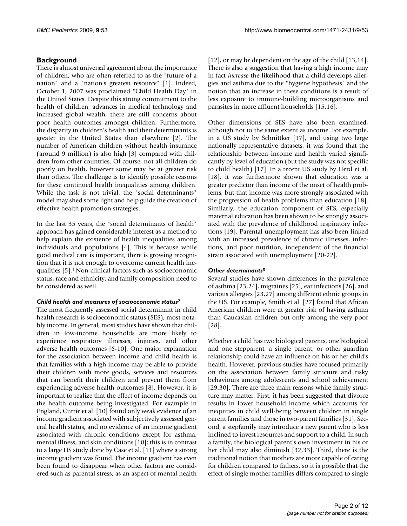# **Background**

There is almost universal agreement about the importance of children, who are often referred to as the "future of a nation" and a "nation's greatest resource" [\[1\]](#page-10-0). Indeed, October 1, 2007 was proclaimed "Child Health Day" in the United States. Despite this strong commitment to the health of children, advances in medical technology and increased global wealth, there are still concerns about poor health outcomes amongst children. Furthermore, the disparity in children's health and their determinants is greater in the United States than elsewhere [\[2\]](#page-10-1). The number of American children without health insurance (around 9 million) is also high [\[3\]](#page-10-2) compared with children from other countries. Of course, not all children do poorly on health, however some may be at greater risk than others. The challenge is to identify possible reasons for these continued health inequalities among children. While the task is not trivial, the "social determinants" model may shed some light and help guide the creation of effective health promotion strategies.

In the last 35 years, the "social determinants of health" approach has gained considerable interest as a method to help explain the existence of health inequalities among individuals and populations [\[4\]](#page-10-3). This is because while good medical care is important, there is growing recognition that it is not enough to overcome current health inequalities [\[5\]](#page-10-4).1 Non-clinical factors such as socioeconomic status, race and ethnicity, and family composition need to be considered as well.

#### *Child health and measures of socioeconomic status2*

The most frequently assessed social determinant in child health research is socioeconomic status (SES), most notably income. In general, most studies have shown that children in low-income households are more likely to experience respiratory illnesses, injuries, and other adverse health outcomes [\[6-](#page-10-5)[10\]](#page-10-6). One major explanation for the association between income and child health is that families with a high income may be able to provide their children with more goods, services and resources that can benefit their children and prevent them from experiencing adverse health outcomes [[8](#page-10-7)]. However, it is important to realize that the effect of income depends on the health outcome being investigated. For example in England, Currie et al. [\[10\]](#page-10-6) found only weak evidence of an income gradient associated with subjectively assessed general health status, and no evidence of an income gradient associated with chronic conditions except for asthma, mental illness, and skin conditions [\[10](#page-10-6)]; this is in contrast to a large US study done by Case et al. [[11](#page-10-8)] where a strong income gradient was found. The income gradient has even been found to disappear when other factors are considered such as parental stress, as an aspect of mental health

[[12](#page-10-9)], or may be dependent on the age of the child [[13,](#page-10-10)[14](#page-10-11)]. There is also a suggestion that having a high income may in fact *increase* the likelihood that a child develops allergies and asthma due to the "hygiene hypothesis" and the notion that an increase in these conditions is a result of less exposure to immune-building microorganisms and parasites in more affluent households [[15,](#page-10-12)[16](#page-10-13)].

Other dimensions of SES have also been examined, although not to the same extent as income. For example, in a US study by Schnittker [[17](#page-10-14)], and using two large nationally representative datasets, it was found that the relationship between income and health varied significantly by level of education (but the study was not specific to child health) [\[17](#page-10-14)]. In a recent US study by Herd et al. [[18](#page-10-15)], it was furthermore shown that education was a greater predictor than income of the onset of health problems, but that income was more strongly associated with the progression of health problems than education [\[18](#page-10-15)]. Similarly, the education component of SES, especially maternal education has been shown to be strongly associated with the prevalence of childhood respiratory infections [[19\]](#page-10-16). Parental unemployment has also been linked with an increased prevalence of chronic illnesses, infections, and poor nutrition, independent of the financial strain associated with unemployment [\[20](#page-10-17)[-22\]](#page-10-18).

#### *Other determinants3*

Several studies have shown differences in the prevalence of asthma [[23](#page-10-19)[,24](#page-10-20)], migraines [[25\]](#page-10-21), ear infections [\[26](#page-10-22)], and various allergies [\[23](#page-10-19)[,27](#page-10-23)] among different ethnic groups in the US. For example, Smith et al. [[27\]](#page-10-23) found that African American children were at greater risk of having asthma than Caucasian children but only among the very poor [[28](#page-10-24)].

Whether a child has two biological parents, one biological and one stepparent, a single parent, or other guardian relationship could have an influence on his or her child's health. However, previous studies have focused primarily on the association between family structure and risky behaviours among adolescents and school achievement [[29](#page-11-0),[30\]](#page-11-1). There are three main reasons while family structure may matter. First, it has been suggested that divorce results in lower household income which accounts for inequities in child well-being between children in single parent families and those in two-parent families [[31](#page-11-2)]. Second, a stepfamily may introduce a new parent who is less inclined to invest resources and support to a child. In such a family, the biological parent's own investment in his or her child may also diminish [[32,](#page-11-3)[33\]](#page-11-4). Third, there is the traditional notion that mothers are more capable of caring for children compared to fathers, so it is possible that the effect of single mother families differs compared to single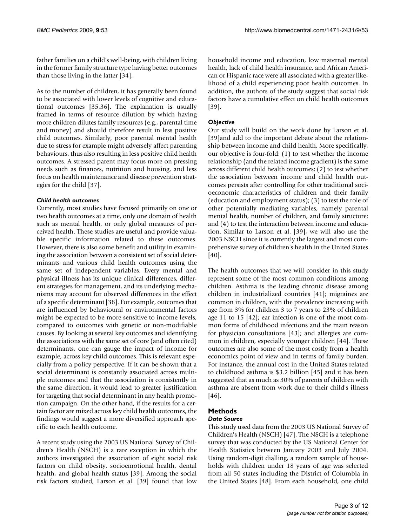father families on a child's well-being, with children living in the former family structure type having better outcomes than those living in the latter [\[34\]](#page-11-5).

As to the number of children, it has generally been found to be associated with lower levels of cognitive and educational outcomes [\[35](#page-11-6),[36\]](#page-11-7). The explanation is usually framed in terms of resource dilution by which having more children dilutes family resources (e.g., parental time and money) and should therefore result in less positive child outcomes. Similarly, poor parental mental health due to stress for example might adversely affect parenting behaviours, thus also resulting in less positive child health outcomes. A stressed parent may focus more on pressing needs such as finances, nutrition and housing, and less focus on health maintenance and disease prevention strategies for the child [[37\]](#page-11-8).

#### *Child health outcomes*

Currently, most studies have focused primarily on one or two health outcomes at a time, only one domain of health such as mental health, or only global measures of perceived health. These studies are useful and provide valuable specific information related to these outcomes. However, there is also some benefit and utility in examining the association between a consistent set of social determinants and various child health outcomes using the same set of independent variables. Every mental and physical illness has its unique clinical differences, different strategies for management, and its underlying mechanisms may account for observed differences in the effect of a specific determinant [\[38](#page-11-9)]. For example, outcomes that are influenced by behavioural or environmental factors might be expected to be more sensitive to income levels, compared to outcomes with genetic or non-modifiable causes. By looking at several key outcomes and identifying the associations with the same set of core (and often cited) determinants, one can gauge the impact of income for example, across key child outcomes. This is relevant especially from a policy perspective. If it can be shown that a social determinant is constantly associated across multiple outcomes and that the association is consistently in the same direction, it would lead to greater justification for targeting that social determinant in any health promotion campaign. On the other hand, if the results for a certain factor are mixed across key child health outcomes, the findings would suggest a more diversified approach specific to each health outcome.

A recent study using the 2003 US National Survey of Children's Health (NSCH) is a rare exception in which the authors investigated the association of eight social risk factors on child obesity, socioemotional health, dental health, and global health status [[39\]](#page-11-10). Among the social risk factors studied, Larson et al. [[39](#page-11-10)] found that low

household income and education, low maternal mental health, lack of child health insurance, and African American or Hispanic race were all associated with a greater likelihood of a child experiencing poor health outcomes. In addition, the authors of the study suggest that social risk factors have a cumulative effect on child health outcomes [[39](#page-11-10)].

## *Objective*

Our study will build on the work done by Larson et al. [[39](#page-11-10)]and add to the important debate about the relationship between income and child health. More specifically, our objective is four-fold: (1) to test whether the income relationship (and the related income gradient) is the same across different child health outcomes; (2) to test whether the association between income and child health outcomes persists after controlling for other traditional socioeconomic characteristics of children and their family (education and employment status); (3) to test the role of other potentially mediating variables, namely parental mental health, number of children, and family structure; and (4) to test the interaction between income and education. Similar to Larson et al. [\[39](#page-11-10)], we will also use the 2003 NSCH since it is currently the largest and most comprehensive survey of children's health in the United States [[40](#page-11-11)].

The health outcomes that we will consider in this study represent some of the most common conditions among children. Asthma is the leading chronic disease among children in industrialized countries [[41](#page-11-12)]; migraines are common in children, with the prevalence increasing with age from 3% for children 3 to 7 years to 23% of children age 11 to 15 [[42\]](#page-11-13); ear infection is one of the most common forms of childhood infections and the main reason for physician consultations [\[43](#page-11-14)]; and allergies are common in children, especially younger children [\[44](#page-11-15)]. These outcomes are also some of the most costly from a health economics point of view and in terms of family burden. For instance, the annual cost in the United States related to childhood asthma is \$3.2 billion [\[45](#page-11-16)] and it has been suggested that as much as 30% of parents of children with asthma are absent from work due to their child's illness [[46](#page-11-17)].

# **Methods**

## *Data Source*

This study used data from the 2003 US National Survey of Children's Health (NSCH) [\[47\]](#page-11-18). The NSCH is a telephone survey that was conducted by the US National Center for Health Statistics between January 2003 and July 2004. Using random-digit dialling, a random sample of households with children under 18 years of age was selected from all 50 states including the District of Columbia in the United States [\[48](#page-11-19)]. From each household, one child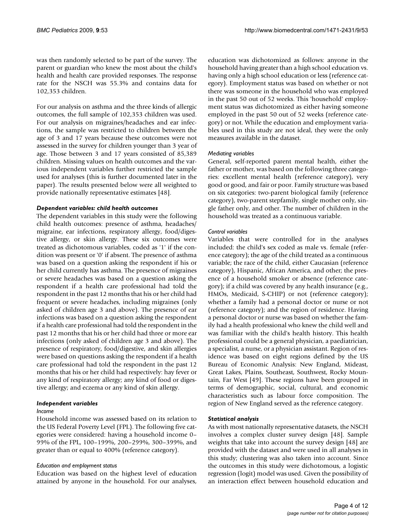was then randomly selected to be part of the survey. The parent or guardian who knew the most about the child's health and health care provided responses. The response rate for the NSCH was 55.3% and contains data for 102,353 children.

For our analysis on asthma and the three kinds of allergic outcomes, the full sample of 102,353 children was used. For our analysis on migraines/headaches and ear infections, the sample was restricted to children between the age of 3 and 17 years because these outcomes were not assessed in the survey for children younger than 3 year of age. Those between 3 and 17 years consisted of 85,389 children. Missing values on health outcomes and the various independent variables further restricted the sample used for analyses (this is further documented later in the paper). The results presented below were all weighted to provide nationally representative estimates [\[48](#page-11-19)].

#### *Dependent variables: child health outcomes*

The dependent variables in this study were the following child health outcomes: presence of asthma, headaches/ migraine, ear infections, respiratory allergy, food/digestive allergy, or skin allergy. These six outcomes were treated as dichotomous variables, coded as '1' if the condition was present or '0' if absent. The presence of asthma was based on a question asking the respondent if his or her child currently has asthma. The presence of migraines or severe headaches was based on a question asking the respondent if a health care professional had told the respondent in the past 12 months that his or her child had frequent or severe headaches, including migraines (only asked of children age 3 and above). The presence of ear infections was based on a question asking the respondent if a health care professional had told the respondent in the past 12 months that his or her child had three or more ear infections (only asked of children age 3 and above). The presence of respiratory, food/digestive, and skin allergies were based on questions asking the respondent if a health care professional had told the respondent in the past 12 months that his or her child had respectively: hay fever or any kind of respiratory allergy; any kind of food or digestive allergy; and eczema or any kind of skin allergy.

# *Independent variables*

#### *Income*

Household income was assessed based on its relation to the US Federal Poverty Level (FPL). The following five categories were considered: having a household income 0– 99% of the FPL, 100–199%, 200–299%, 300–399%, and greater than or equal to 400% (reference category).

#### *Education and employment status*

Education was based on the highest level of education attained by anyone in the household. For our analyses,

education was dichotomized as follows: anyone in the household having greater than a high school education vs. having only a high school education or less (reference category). Employment status was based on whether or not there was someone in the household who was employed in the past 50 out of 52 weeks. This 'household' employment status was dichotomized as either having someone employed in the past 50 out of 52 weeks (reference category) or not. While the education and employment variables used in this study are not ideal, they were the only measures available in the dataset.

#### *Mediating variables*

General, self-reported parent mental health, either the father or mother, was based on the following three categories: excellent mental health (reference category), very good or good, and fair or poor. Family structure was based on six categories: two-parent biological family (reference category), two-parent stepfamily, single mother only, single father only, and other. The number of children in the household was treated as a continuous variable.

#### *Control variables*

Variables that were controlled for in the analyses included: the child's sex coded as male vs. female (reference category); the age of the child treated as a continuous variable; the race of the child, either Caucasian (reference category), Hispanic, African America, and other; the presence of a household smoker or absence (reference category); if a child was covered by any health insurance (e.g., HMOs, Medicaid, S-CHIP) or not (reference category); whether a family had a personal doctor or nurse or not (reference category); and the region of residence. Having a personal doctor or nurse was based on whether the family had a health professional who knew the child well and was familiar with the child's health history. This health professional could be a general physician, a paediatrician, a specialist, a nurse, or a physician assistant. Region of residence was based on eight regions defined by the US Bureau of Economic Analysis: New England, Mideast, Great Lakes, Plains, Southeast, Southwest, Rocky Mountain, Far West [[49\]](#page-11-20). These regions have been grouped in terms of demographic, social, cultural, and economic characteristics such as labour force composition. The region of New England served as the reference category.

#### *Statistical analysis*

As with most nationally representative datasets, the NSCH involves a complex cluster survey design [\[48](#page-11-19)]. Sample weights that take into account the survey design [\[48\]](#page-11-19) are provided with the dataset and were used in all analyses in this study; clustering was also taken into account. Since the outcomes in this study were dichotomous, a logistic regression (logit) model was used. Given the possibility of an interaction effect between household education and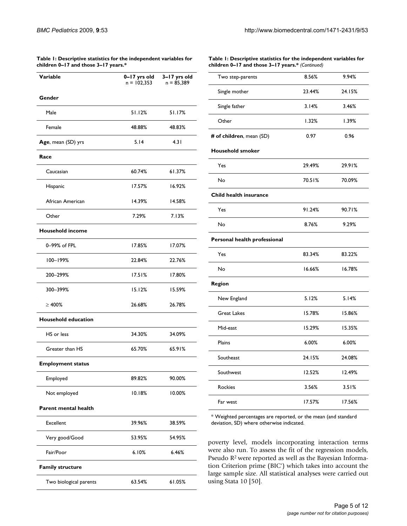| Variable                    | 0-17 yrs old<br>$n = 102,353$ | 3-17 yrs old<br>$n = 85,389$ |  |
|-----------------------------|-------------------------------|------------------------------|--|
| Gender                      |                               |                              |  |
| Male                        | 51.12%                        | 51.17%                       |  |
| Female                      | 48.88%                        | 48.83%                       |  |
| Age, mean (SD) yrs          | 5.14                          | 4.31                         |  |
| Race                        |                               |                              |  |
| Caucasian                   | 60.74%                        | 61.37%                       |  |
| Hispanic                    | 17.57%                        | 16.92%                       |  |
| African American            | 14.39%                        | 14.58%                       |  |
| Other                       | 7.29%                         | 7.13%                        |  |
| <b>Household income</b>     |                               |                              |  |
| 0-99% of FPL                | 17.85%                        | 17.07%                       |  |
| $100 - 199%$                | 22.84%                        | 22.76%                       |  |
| 200-299%                    | 17.51%                        | 17.80%                       |  |
| 300-399%                    | 15.12%                        | 15.59%                       |  |
| $\geq 400\%$                | 26.68%                        | 26.78%                       |  |
| <b>Household education</b>  |                               |                              |  |
| HS or less                  | 34.30%                        | 34.09%                       |  |
| Greater than HS             | 65.70%                        | 65.91%                       |  |
| <b>Employment status</b>    |                               |                              |  |
| Employed                    | 89.82%                        | 90.00%                       |  |
| Not employed                | 10.18%                        | 10.00%                       |  |
| <b>Parent mental health</b> |                               |                              |  |
| Excellent                   | 39.96%                        | 38.59%                       |  |
| Very good/Good              | 53.95%                        | 54.95%                       |  |
| Fair/Poor                   | 6.10%                         | 6.46%                        |  |
| <b>Family structure</b>     |                               |                              |  |
| Two biological parents      | 63.54%                        | 61.05%                       |  |

| 8.56%                        | 9.94%  |  |  |  |  |
|------------------------------|--------|--|--|--|--|
| 23.44%                       | 24.15% |  |  |  |  |
| 3.14%                        | 3.46%  |  |  |  |  |
| 1.32%                        | 1.39%  |  |  |  |  |
| 0.97                         | 0.96   |  |  |  |  |
|                              |        |  |  |  |  |
| 29.49%                       | 29.91% |  |  |  |  |
| 70.51%                       | 70.09% |  |  |  |  |
|                              |        |  |  |  |  |
| 91.24%                       | 90.71% |  |  |  |  |
| 8.76%                        | 9.29%  |  |  |  |  |
| Personal health professional |        |  |  |  |  |
| 83.34%                       | 83.22% |  |  |  |  |
| 16.66%                       | 16.78% |  |  |  |  |
|                              |        |  |  |  |  |
| 5.12%                        | 5.14%  |  |  |  |  |
| 15.78%                       | 15.86% |  |  |  |  |
| 15.29%                       | 15.35% |  |  |  |  |
| 6.00%                        | 6.00%  |  |  |  |  |
| 24.15%                       | 24.08% |  |  |  |  |
| 12.52%                       | 12.49% |  |  |  |  |
| 3.56%                        | 3.51%  |  |  |  |  |
| 17.57%                       | 17.56% |  |  |  |  |
|                              |        |  |  |  |  |

\* Weighted percentages are reported, or the mean (and standard deviation, SD) where otherwise indicated.

poverty level, models incorporating interaction terms were also run. To assess the fit of the regression models, Pseudo R2 were reported as well as the Bayesian Information Criterion prime (BIC') which takes into account the large sample size. All statistical analyses were carried out using Stata 10 [[50\]](#page-11-21).

<span id="page-4-0"></span>**Table 1: Descriptive statistics for the independent variables for children 0–17 and those 3–17 years.\***

#### **Table 1: Descriptive statistics for the independent variables for children 0–17 and those 3–17 years.\*** *(Continued)*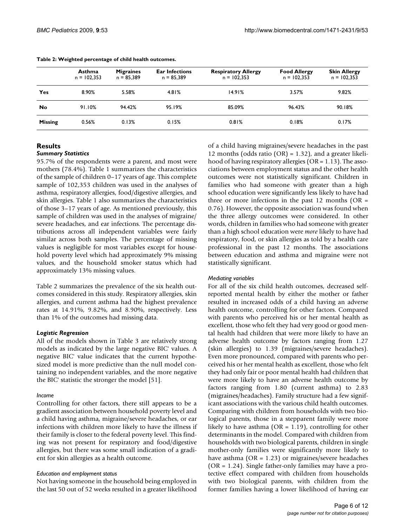|                | Asthma<br>$n = 102,353$ | <b>Migraines</b><br>$n = 85.389$ | <b>Ear Infections</b><br>$n = 85.389$ | <b>Respiratory Allergy</b><br>$n = 102,353$ | <b>Food Allergy</b><br>$n = 102.353$ | <b>Skin Allergy</b><br>$n = 102,353$ |
|----------------|-------------------------|----------------------------------|---------------------------------------|---------------------------------------------|--------------------------------------|--------------------------------------|
| Yes            | 8.90%                   | 5.58%                            | 4.81%                                 | 14.91%                                      | 3.57%                                | 9.82%                                |
| No             | 91.10%                  | 94.42%                           | 95.19%                                | 85.09%                                      | 96.43%                               | 90.18%                               |
| <b>Missing</b> | 0.56%                   | 0.13%                            | 0.15%                                 | 0.81%                                       | 0.18%                                | 0.17%                                |

#### <span id="page-5-0"></span>**Table 2: Weighted percentage of child health outcomes.**

#### **Results**

#### *Summary Statistics*

95.7% of the respondents were a parent, and most were mothers (78.4%). Table [1](#page-4-0) summarizes the characteristics of the sample of children 0–17 years of age. This complete sample of 102,353 children was used in the analyses of asthma, respiratory allergies, food/digestive allergies, and skin allergies. Table [1](#page-4-0) also summarizes the characteristics of those 3–17 years of age. As mentioned previously, this sample of children was used in the analyses of migraine/ severe headaches, and ear infections. The percentage distributions across all independent variables were fairly similar across both samples. The percentage of missing values is negligible for most variables except for household poverty level which had approximately 9% missing values, and the household smoker status which had approximately 13% missing values.

Table [2](#page-5-0) summarizes the prevalence of the six health outcomes considered in this study. Respiratory allergies, skin allergies, and current asthma had the highest prevalence rates at 14.91%, 9.82%, and 8.90%, respectively. Less than 1% of the outcomes had missing data.

#### *Logistic Regression*

All of the models shown in Table [3](#page-6-0) are relatively strong models as indicated by the large negative BIC' values. A negative BIC' value indicates that the current hypothesized model is more predictive than the null model containing no independent variables, and the more negative the BIC' statistic the stronger the model [[51\]](#page-11-22).

#### *Income*

Controlling for other factors, there still appears to be a gradient association between household poverty level and a child having asthma, migraine/severe headaches, or ear infections with children more likely to have the illness if their family is closer to the federal poverty level. This finding was not present for respiratory and food/digestive allergies, but there was some small indication of a gradient for skin allergies as a health outcome.

#### *Education and employment status*

Not having someone in the household being employed in the last 50 out of 52 weeks resulted in a greater likelihood

of a child having migraines/severe headaches in the past 12 months (odds ratio (OR) = 1.32), and a greater likelihood of having respiratory allergies ( $OR = 1.13$ ). The associations between employment status and the other health outcomes were not statistically significant. Children in families who had someone with greater than a high school education were significantly less likely to have had three or more infections in the past 12 months ( $OR =$ 0.76). However, the opposite association was found when the three allergy outcomes were considered. In other words, children in families who had someone with greater than a high school education were *more* likely to have had respiratory, food, or skin allergies as told by a health care professional in the past 12 months. The associations between education and asthma and migraine were not statistically significant.

#### *Mediating variables*

For all of the six child health outcomes, decreased selfreported mental health by either the mother or father resulted in increased odds of a child having an adverse health outcome, controlling for other factors. Compared with parents who perceived his or her mental health as excellent, those who felt they had very good or good mental health had children that were more likely to have an adverse health outcome by factors ranging from 1.27 (skin allergies) to 1.39 (migraines/severe headaches). Even more pronounced, compared with parents who perceived his or her mental health as excellent, those who felt they had only fair or poor mental health had children that were more likely to have an adverse health outcome by factors ranging from 1.80 (current asthma) to 2.83 (migraines/headaches). Family structure had a few significant associations with the various child health outcomes. Comparing with children from households with two biological parents, those in a stepparent family were more likely to have asthma ( $OR = 1.19$ ), controlling for other determinants in the model. Compared with children from households with two biological parents, children in single mother-only families were significantly more likely to have asthma (OR = 1.23) or migraines/severe headaches  $(OR = 1.24)$ . Single father-only families may have a protective effect compared with children from households with two biological parents, with children from the former families having a lower likelihood of having ear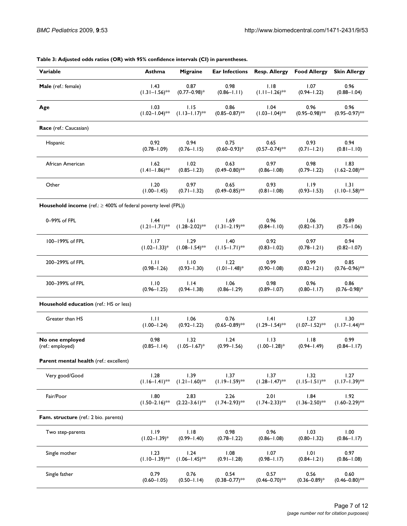| Variable                                                            | Asthma             | Migraine           | <b>Ear Infections</b> | <b>Resp. Allergy</b> | <b>Food Allergy</b> | <b>Skin Allergy</b> |
|---------------------------------------------------------------------|--------------------|--------------------|-----------------------|----------------------|---------------------|---------------------|
| Male (ref.: female)                                                 | 1.43               | 0.87               | 0.98                  | 1.18                 | 1.07                | 0.96                |
|                                                                     | $(1.31 - 1.56)$ ** | $(0.77 - 0.98)$ *  | $(0.86 - 1.11)$       | $(1.11 - 1.26)$ **   | $(0.94 - 1.22)$     | $(0.88 - 1.04)$     |
| Age                                                                 | 1.03               | 1.15               | 0.86                  | 1.04                 | 0.96                | 0.96                |
|                                                                     | $(1.02 - 1.04)$ ** | $(1.13 - 1.17)$ ** | $(0.85 - 0.87)$ **    | $(1.03 - 1.04)$ **   | $(0.95 - 0.98)$ **  | $(0.95 - 0.97)$ **  |
| Race (ref.: Caucasian)                                              |                    |                    |                       |                      |                     |                     |
| Hispanic                                                            | 0.92               | 0.94               | 0.75                  | 0.65                 | 0.93                | 0.94                |
|                                                                     | $(0.78 - 1.09)$    | $(0.76 - 1.15)$    | $(0.60 - 0.93)^*$     | $(0.57 - 0.74)$ **   | $(0.71 - 1.21)$     | $(0.81 - 1.10)$     |
| African American                                                    | 1.62               | 1.02               | 0.63                  | 0.97                 | 0.98                | 1.83                |
|                                                                     | $(1.41 - 1.86)$ ** | $(0.85 - 1.23)$    | $(0.49 - 0.80)$ **    | $(0.86 - 1.08)$      | $(0.79 - 1.22)$     | $(1.62 - 2.08)$ **  |
| Other                                                               | 1.20               | 0.97               | 0.65                  | 0.93                 | 1.19                | 1.31                |
|                                                                     | $(1.00 - 1.45)$    | $(0.71 - 1.32)$    | $(0.49 - 0.85)$ **    | $(0.81 - 1.08)$      | $(0.93 - 1.53)$     | $(1.10 - 1.58)$ **  |
| Household income (ref.: $\geq$ 400% of federal poverty level (FPL)) |                    |                    |                       |                      |                     |                     |
| 0-99% of FPL                                                        | 1.44               | 1.61               | 1.69                  | 0.96                 | 1.06                | 0.89                |
|                                                                     | $(1.21 - 1.71)$ ** | $(1.28 - 2.02)$ ** | $(1.31 - 2.19)$ **    | $(0.84 - 1.10)$      | $(0.82 - 1.37)$     | $(0.75 - 1.06)$     |
| 100-199% of FPL                                                     | 1.17               | 1.29               | 1.40                  | 0.92                 | 0.97                | 0.94                |
|                                                                     | $(1.02 - 1.33)^*$  | $(1.08 - 1.54)$ ** | $(1.15 - 1.71)^{**}$  | $(0.83 - 1.02)$      | $(0.78 - 1.21)$     | $(0.82 - 1.07)$     |
| 200-299% of FPL                                                     | 1.11               | 1.10               | 1.22                  | 0.99                 | 0.99                | 0.85                |
|                                                                     | $(0.98 - 1.26)$    | $(0.93 - 1.30)$    | $(1.01 - 1.48)^*$     | $(0.90 - 1.08)$      | $(0.82 - 1.21)$     | $(0.76 - 0.96)$ **  |
| 300-399% of FPL                                                     | 1.10               | 1.14               | 1.06                  | 0.98                 | 0.96                | 0.86                |
|                                                                     | $(0.96 - 1.25)$    | $(0.94 - 1.38)$    | $(0.86 - 1.29)$       | $(0.89 - 1.07)$      | $(0.80 - 1.17)$     | $(0.76 - 0.98)$ *   |
| Household education (ref.: HS or less)                              |                    |                    |                       |                      |                     |                     |
| Greater than HS                                                     | 1.11               | 1.06               | 0.76                  | .4                   | 1.27                | 1.30                |
|                                                                     | $(1.00 - 1.24)$    | $(0.92 - 1.22)$    | $(0.65 - 0.89)$ **    | $(1.29 - 1.54)$ **   | $(1.07 - 1.52)$ **  | $(1.17 - 1.44)$ **  |
| No one employed                                                     | 0.98               | 1.32               | 1.24                  | 1.13                 | 1.18                | 0.99                |
| (ref.: employed)                                                    | $(0.85 - 1.14)$    | $(1.05 - 1.67)^*$  | $(0.99 - 1.56)$       | $(1.00 - 1.28)^*$    | $(0.94 - 1.49)$     | $(0.84 - 1.17)$     |
| Parent mental health (ref.: excellent)                              |                    |                    |                       |                      |                     |                     |
| Very good/Good                                                      | 1.28               | 1.39               | 1.37                  | 1.37                 | 1.32                | 1.27                |
|                                                                     | $(1.16 - 1.41)$ ** | $(1.21 - 1.60)$ ** | $(1.19 - 1.59)$ **    | $(1.28 - 1.47)$ **   | $(1.15 - 1.51)$ **  | $(1.17 - 1.39)$ **  |
| Fair/Poor                                                           | 1.80               | 2.83               | 2.26                  | 2.01                 | 1.84                | 1.92                |
|                                                                     | $(1.50 - 2.16)$ ** | $(2.22 - 3.61)$ ** | $(1.74 - 2.93)$ **    | $(1.74 - 2.33)$ **   | $(1.36 - 2.50)$ **  | $(1.60 - 2.29)$ **  |
| Fam. structure (ref.: 2 bio. parents)                               |                    |                    |                       |                      |                     |                     |
| Two step-parents                                                    | 1.19               | 1.18               | 0.98                  | 0.96                 | 1.03                | 1.00                |
|                                                                     | $(1.02 - 1.39)^*$  | $(0.99 - 1.40)$    | $(0.78 - 1.22)$       | $(0.86 - 1.08)$      | $(0.80 - 1.32)$     | $(0.86 - 1.17)$     |
| Single mother                                                       | 1.23               | 1.24               | 1.08                  | 1.07                 | 1.01                | 0.97                |
|                                                                     | $(1.10 - 1.39)$ ** | $(1.06 - 1.45)$ ** | $(0.91 - 1.28)$       | $(0.98 - 1.17)$      | $(0.84 - 1.21)$     | $(0.86 - 1.08)$     |
| Single father                                                       | 0.79               | 0.76               | 0.54                  | 0.57                 | 0.56                | 0.60                |
|                                                                     | $(0.60 - 1.05)$    | $(0.50 - 1.14)$    | $(0.38 - 0.77)$ **    | $(0.46 - 0.70)$ **   | $(0.36 - 0.89)^*$   | $(0.46 - 0.80)$ **  |

# <span id="page-6-0"></span>**Table 3: Adjusted odds ratios (OR) with 95% confidence intervals (CI) in parentheses.**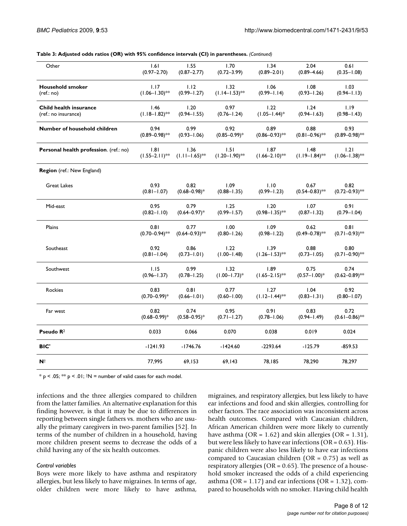#### **Table 3: Adjusted odds ratios (OR) with 95% confidence intervals (CI) in parentheses.** *(Continued)*

| Other                                  | 1.61                 | 1.55               | 1.70               | 1.34               | 2.04               | 0.61               |
|----------------------------------------|----------------------|--------------------|--------------------|--------------------|--------------------|--------------------|
|                                        | $(0.97 - 2.70)$      | $(0.87 - 2.77)$    | $(0.72 - 3.99)$    | $(0.89 - 2.01)$    | $(0.89 - 4.66)$    | $(0.35 - 1.08)$    |
| <b>Household smoker</b>                | 1.17                 | 1.12               | 1.32               | 1.06               | 1.08               | 1.03               |
| (ref.:no)                              | $(1.06 - 1.30)$ **   | $(0.99 - 1.27)$    | $(1.14 - 1.53)$ ** | $(0.99 - 1.14)$    | $(0.93 - 1.26)$    | $(0.94 - 1.13)$    |
| Child health insurance                 | 1.46                 | 1.20               | 0.97               | 1.22               | 1.24               | 1.19               |
| (ref.: no insurance)                   | $(1.18 - 1.82)$ **   | $(0.94 - 1.55)$    | $(0.76 - 1.24)$    | $(1.05 - 1.44)^*$  | $(0.94 - 1.63)$    | $(0.98 - 1.43)$    |
| Number of household children           | 0.94                 | 0.99               | 0.92               | 0.89               | 0.88               | 0.93               |
|                                        | $(0.89 - 0.98)$ **   | $(0.93 - 1.06)$    | $(0.85 - 0.99)^*$  | $(0.86 - 0.93)$ ** | $(0.81 - 0.96)$ ** | $(0.89 - 0.98)$ ** |
| Personal health profession. (ref.: no) | 1.81                 | 1.36               | 1.51               | 1.87               | 1.48               | 1.21               |
|                                        | $(1.55 - 2.11)^{**}$ | $(1.11 - 1.65)$ ** | $(1.20 - 1.90)$ ** | $(1.66 - 2.10)$ ** | $(1.19 - 1.84)$ ** | $(1.06 - 1.38)$ ** |
| Region (ref.: New England)             |                      |                    |                    |                    |                    |                    |
| <b>Great Lakes</b>                     | 0.93                 | 0.82               | 1.09               | 1.10               | 0.67               | 0.82               |
|                                        | $(0.81 - 1.07)$      | $(0.68 - 0.98)^*$  | $(0.88 - 1.35)$    | $(0.99 - 1.23)$    | $(0.54 - 0.83)$ ** | $(0.72 - 0.93)$ ** |
| Mid-east                               | 0.95                 | 0.79               | 1.25               | 1.20               | 1.07               | 0.91               |
|                                        | $(0.82 - 1.10)$      | $(0.64 - 0.97)^*$  | $(0.99 - 1.57)$    | $(0.98 - 1.35)$ ** | $(0.87 - 1.32)$    | $(0.79 - 1.04)$    |
| Plains                                 | 0.81                 | 0.77               | 1.00               | 1.09               | 0.62               | 0.81               |
|                                        | $(0.70 - 0.94)$ **   | $(0.64 - 0.93)$ ** | $(0.80 - 1.26)$    | $(0.98 - 1.22)$    | $(0.49 - 0.78)$ ** | $(0.71 - 0.93)$ ** |
| Southeast                              | 0.92                 | 0.86               | 1.22               | 1.39               | 0.88               | 0.80               |
|                                        | $(0.81 - 1.04)$      | $(0.73 - 1.01)$    | $(1.00 - 1.48)$    | $(1.26 - 1.53)$ ** | $(0.73 - 1.05)$    | $(0.71 - 0.90)$ ** |
| Southwest                              | 1.15                 | 0.99               | 1.32               | 1.89               | 0.75               | 0.74               |
|                                        | $(0.96 - 1.37)$      | $(0.78 - 1.25)$    | $(1.00 - 1.73)^*$  | $(1.65 - 2.15)$ ** | $(0.57 - 1.00)^*$  | $(0.62 - 0.89)$ ** |
| Rockies                                | 0.83                 | 0.81               | 0.77               | 1.27               | 1.04               | 0.92               |
|                                        | $(0.70 - 0.99)^*$    | $(0.66 - 1.01)$    | $(0.60 - 1.00)$    | $(1.12 - 1.44)$ ** | $(0.83 - 1.31)$    | $(0.80 - 1.07)$    |
| Far west                               | 0.82                 | 0.74               | 0.95               | 0.91               | 0.83               | 0.72               |
|                                        | $(0.68 - 0.99)^*$    | $(0.58 - 0.95)^*$  | $(0.71 - 1.27)$    | $(0.78 - 1.06)$    | $(0.94 - 1.49)$    | $(0.61 - 0.86)$ ** |
| Pseudo $\mathbb{R}^2$                  | 0.033                | 0.066              | 0.070              | 0.038              | 0.019              | 0.024              |
| BIC'                                   | $-1241.93$           | $-1746.76$         | $-1424.60$         | $-2293.64$         | $-125.79$          | $-859.53$          |
| Νt                                     | 77,995               | 69,153             | 69,143             | 78,185             | 78,290             | 78,297             |

 $*$  p < .05;  $**$  p < .01;  $\dagger$ N = number of valid cases for each model.

infections and the three allergies compared to children from the latter families. An alternative explanation for this finding however, is that it may be due to differences in reporting between single fathers vs. mothers who are usually the primary caregivers in two-parent families [[52](#page-11-23)]. In terms of the number of children in a household, having more children present seems to decrease the odds of a child having any of the six health outcomes.

#### *Control variables*

Boys were more likely to have asthma and respiratory allergies, but less likely to have migraines. In terms of age, older children were more likely to have asthma,

migraines, and respiratory allergies, but less likely to have ear infections and food and skin allergies, controlling for other factors. The race association was inconsistent across health outcomes. Compared with Caucasian children, African American children were more likely to currently have asthma (OR = 1.62) and skin allergies (OR =  $1.31$ ), but were less likely to have ear infections (OR = 0.63). Hispanic children were also less likely to have ear infections compared to Caucasian children ( $OR = 0.75$ ) as well as respiratory allergies ( $OR = 0.65$ ). The presence of a household smoker increased the odds of a child experiencing asthma (OR =  $1.17$ ) and ear infections (OR =  $1.32$ ), compared to households with no smoker. Having child health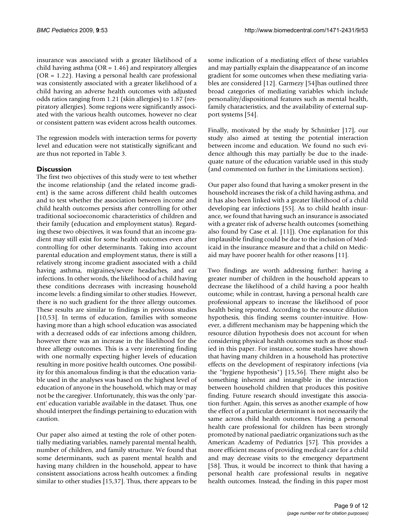insurance was associated with a greater likelihood of a child having asthma ( $OR = 1.46$ ) and respiratory allergies (OR = 1.22). Having a personal health care professional was consistently associated with a greater likelihood of a child having an adverse health outcomes with adjusted odds ratios ranging from 1.21 (skin allergies) to 1.87 (respiratory allergies). Some regions were significantly associated with the various health outcomes, however no clear or consistent pattern was evident across health outcomes.

The regression models with interaction terms for poverty level and education were not statistically significant and are thus not reported in Table [3](#page-6-0).

# **Discussion**

The first two objectives of this study were to test whether the income relationship (and the related income gradient) is the same across different child health outcomes and to test whether the association between income and child health outcomes persists after controlling for other traditional socioeconomic characteristics of children and their family (education and employment status). Regarding these two objectives, it was found that an income gradient may still exist for some health outcomes even after controlling for other determinants. Taking into account parental education and employment status, there is still a relatively strong income gradient associated with a child having asthma, migraines/severe headaches, and ear infections. In other words, the likelihood of a child having these conditions decreases with increasing household income levels: a finding similar to other studies. However, there is no such gradient for the three allergy outcomes. These results are similar to findings in previous studies [[10](#page-10-6),[53\]](#page-11-24). In terms of education, families with someone having more than a high school education was associated with a decreased odds of ear infections among children, however there was an increase in the likelihood for the three allergy outcomes. This is a very interesting finding with one normally expecting higher levels of education resulting in more positive health outcomes. One possibility for this anomalous finding is that the education variable used in the analyses was based on the highest level of education of anyone in the household, which may or may not be the caregiver. Unfortunately, this was the only 'parent' education variable available in the dataset. Thus, one should interpret the findings pertaining to education with caution.

Our paper also aimed at testing the role of other potentially mediating variables, namely parental mental health, number of children, and family structure. We found that some determinants, such as parent mental health and having many children in the household, appear to have consistent associations across health outcomes: a finding similar to other studies [\[15](#page-10-12)[,37](#page-11-8)]. Thus, there appears to be

some indication of a mediating effect of these variables and may partially explain the disappearance of an income gradient for some outcomes when these mediating variables are considered [[12\]](#page-10-9). Garmezy [[54\]](#page-11-25)has outlined three broad categories of mediating variables which include personality/dispositional features such as mental health, family characteristics, and the availability of external support systems [[54](#page-11-25)].

Finally, motivated by the study by Schnittker [[17](#page-10-14)], our study also aimed at testing the potential interaction between income and education. We found no such evidence although this may partially be due to the inadequate nature of the education variable used in this study (and commented on further in the Limitations section).

Our paper also found that having a smoker present in the household increases the risk of a child having asthma, and it has also been linked with a greater likelihood of a child developing ear infections [\[55\]](#page-11-26). As to child health insurance, we found that having such an insurance is associated with a greater risk of adverse health outcomes (something also found by Case et al. [\[11](#page-10-8)]). One explanation for this implausible finding could be due to the inclusion of Medicaid in the insurance measure and that a child on Medicaid may have poorer health for other reasons [\[11](#page-10-8)].

Two findings are worth addressing further: having a greater number of children in the household appears to decrease the likelihood of a child having a poor health outcome; while in contrast, having a personal health care professional appears to increase the likelihood of poor health being reported. According to the resource dilution hypothesis, this finding seems counter-intuitive. However, a different mechanism may be happening which the resource dilution hypothesis does not account for when considering physical health outcomes such as those studied in this paper. For instance, some studies have shown that having many children in a household has protective effects on the development of respiratory infections (via the "hygiene hypothesis") [[15](#page-10-12),[56\]](#page-11-27). There might also be something inherent and intangible in the interaction between household children that produces this positive finding. Future research should investigate this association further. Again, this serves as another example of how the effect of a particular determinant is not necessarily the same across child health outcomes. Having a personal health care professional for children has been strongly promoted by national paediatric organizations such as the American Academy of Pediatrics [\[57\]](#page-11-28). This provides a more efficient means of providing medical care for a child and may decrease visits to the emergency department [[58](#page-11-29)]. Thus, it would be incorrect to think that having a personal health care professional results in negative health outcomes. Instead, the finding in this paper most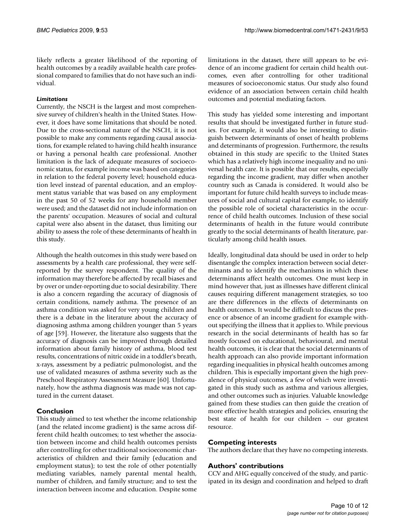likely reflects a greater likelihood of the reporting of health outcomes by a readily available health care professional compared to families that do not have such an individual.

#### *Limitations*

Currently, the NSCH is the largest and most comprehensive survey of children's health in the United States. However, it does have some limitations that should be noted. Due to the cross-sectional nature of the NSCH, it is not possible to make any comments regarding causal associations, for example related to having child health insurance or having a personal health care professional. Another limitation is the lack of adequate measures of socioeconomic status, for example income was based on categories in relation to the federal poverty level; household education level instead of parental education, and an employment status variable that was based on any employment in the past 50 of 52 weeks for any household member were used; and the dataset did not include information on the parents' occupation. Measures of social and cultural capital were also absent in the dataset, thus limiting our ability to assess the role of these determinants of health in this study.

Although the health outcomes in this study were based on assessments by a health care professional, they were selfreported by the survey respondent. The quality of the information may therefore be affected by recall biases and by over or under-reporting due to social desirability. There is also a concern regarding the accuracy of diagnosis of certain conditions, namely asthma. The presence of an asthma condition was asked for very young children and there is a debate in the literature about the accuracy of diagnosing asthma among children younger than 5 years of age [[59\]](#page-11-30). However, the literature also suggests that the accuracy of diagnosis can be improved through detailed information about family history of asthma, blood test results, concentrations of nitric oxide in a toddler's breath, x-rays, assessment by a pediatric pulmonologist, and the use of validated measures of asthma severity such as the Preschool Respiratory Assessment Measure [\[60\]](#page-11-31). Unfortunately, how the asthma diagnosis was made was not captured in the current dataset.

## **Conclusion**

This study aimed to test whether the income relationship (and the related income gradient) is the same across different child health outcomes; to test whether the association between income and child health outcomes persists after controlling for other traditional socioeconomic characteristics of children and their family (education and employment status); to test the role of other potentially mediating variables, namely parental mental health, number of children, and family structure; and to test the interaction between income and education. Despite some

limitations in the dataset, there still appears to be evidence of an income gradient for certain child health outcomes, even after controlling for other traditional measures of socioeconomic status. Our study also found evidence of an association between certain child health outcomes and potential mediating factors.

This study has yielded some interesting and important results that should be investigated further in future studies. For example, it would also be interesting to distinguish between determinants of onset of health problems and determinants of progression. Furthermore, the results obtained in this study are specific to the United States which has a relatively high income inequality and no universal health care. It is possible that our results, especially regarding the income gradient, may differ when another country such as Canada is considered. It would also be important for future child health surveys to include measures of social and cultural capital for example, to identify the possible role of societal characteristics in the occurrence of child health outcomes. Inclusion of these social determinants of health in the future would contribute greatly to the social determinants of health literature, particularly among child health issues.

Ideally, longitudinal data should be used in order to help disentangle the complex interaction between social determinants and to identify the mechanisms in which these determinants affect health outcomes. One must keep in mind however that, just as illnesses have different clinical causes requiring different management strategies, so too are there differences in the effects of determinants on health outcomes. It would be difficult to discuss the presence or absence of an income gradient for example without specifying the illness that it applies to. While previous research in the social determinants of health has so far mostly focused on educational, behavioural, and mental health outcomes, it is clear that the social determinants of health approach can also provide important information regarding inequalities in physical health outcomes among children. This is especially important given the high prevalence of physical outcomes, a few of which were investigated in this study such as asthma and various allergies, and other outcomes such as injuries. Valuable knowledge gained from these studies can then guide the creation of more effective health strategies and policies, ensuring the best state of health for our children – our greatest resource.

## **Competing interests**

The authors declare that they have no competing interests.

## **Authors' contributions**

CCV and AHG equally conceived of the study, and participated in its design and coordination and helped to draft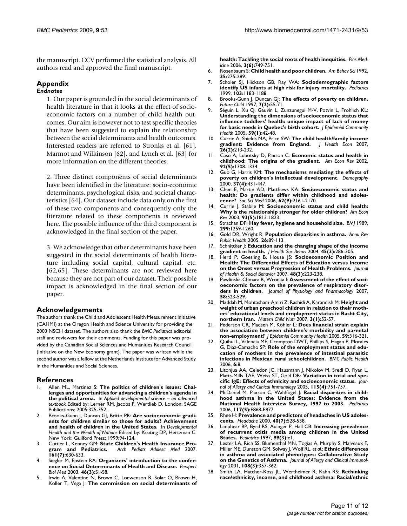the manuscript. CCV performed the statistical analysis. All authors read and approved the final manuscript.

# **Appendix**

#### *Endnotes*

1. Our paper is grounded in the social determinants of health literature in that it looks at the effect of socioeconomic factors on a number of child health outcomes. Our aim is however not to test specific theories that have been suggested to explain the relationship between the social determinants and health outcomes. Interested readers are referred to Stronks et al. [\[61](#page-11-32)], Marmot and Wilkinson [\[62\]](#page-11-33), and Lynch et al. [\[63\]](#page-11-34) for more information on the different theories.

2. Three distinct components of social determinants have been identified in the literature: socio-economic determinants, psychological risks, and societal characteristics [\[64](#page-11-35)]. Our dataset include data only on the first of these two components and consequently only the literature related to these components is reviewed here. The possible influence of the third component is acknowledged in the final section of the paper.

3. We acknowledge that other determinants have been suggested in the social determinants of health literature including social capital, cultural capital, etc. [[62](#page-11-33),[65\]](#page-11-36). These determinants are not reviewed here because they are not part of our dataset. Their possible impact is acknowledged in the final section of our paper.

#### **Acknowledgements**

The authors thank the Child and Adolescent Health Measurement Initiative (CAHMI) at the Oregon Health and Science University for providing the 2003 NSCH dataset. The authors also thank the *BMC Pediatrics* editorial staff and reviewers for their comments. Funding for this paper was provided by the Canadian Social Sciences and Humanities Research Council (Initiative on the New Economy grant). The paper was written while the second author was a fellow at the Netherlands Institute for Advanced Study in the Humanities and Social Sciences.

#### **References**

- <span id="page-10-0"></span>Allen ML, Martinez S: The politics of children's issues: Chal**lenges and opportunities for advancing a children's agenda in the political arena.** In *Applied developmental science – an advanced textbook* Edited by: Lerner RM, Jacobs F, Wertlieb D. London: SAGE Publications; 2005:325-352.
- <span id="page-10-1"></span>2. Brooks-Gunn J, Duncan GJ, Britto PR: **Are socioeconomic gradients for children similar to those for adults? Achievement and health of children in the United States.** In *Developmental Health and the Wealth of Nations* Edited by: Keating DP, Hertzman C. New York: Guilford Press; 1999:94-124.
- <span id="page-10-2"></span>3. Cuttler L, Kenney GM: **[State Children's Health Insurance Pro](http://www.ncbi.nlm.nih.gov/entrez/query.fcgi?cmd=Retrieve&db=PubMed&dopt=Abstract&list_uids=17606824)[gram and Pediatrics.](http://www.ncbi.nlm.nih.gov/entrez/query.fcgi?cmd=Retrieve&db=PubMed&dopt=Abstract&list_uids=17606824)** *Arch Pediatr Adolesc Med* 2007, gram and **Pediatrics.**<br>**161(7):**630-633.
- <span id="page-10-3"></span>Siegler M, Epstein RA: [Organizers' introduction to the confer](http://www.ncbi.nlm.nih.gov/entrez/query.fcgi?cmd=Retrieve&db=PubMed&dopt=Abstract&list_uids=14563070)**[ence on Social Determinants of Health and Disease.](http://www.ncbi.nlm.nih.gov/entrez/query.fcgi?cmd=Retrieve&db=PubMed&dopt=Abstract&list_uids=14563070)** *Perspect Biol Med* 2003, **46(3):**S1-S8.
- <span id="page-10-4"></span>5. Irwin A, Valentine N, Brown C, Loewenson R, Solar O, Brown H, Koller T, Vega J: **The commission on social determinants of**

**health: Tackling the social roots of health inequities.** *Plos Medicine* 2006, **3(6):**749-751.

- <span id="page-10-5"></span>6. Rosenbaum S: **Child health and poor children.** *Am Behav Sci* 1992, **35:**275-289.
- 7. Scholer SJ, Hickson GB, Ray WA: **[Sociodemographic factors](http://www.ncbi.nlm.nih.gov/entrez/query.fcgi?cmd=Retrieve&db=PubMed&dopt=Abstract&list_uids=10353926) [identify US infants at high risk for injury mortality.](http://www.ncbi.nlm.nih.gov/entrez/query.fcgi?cmd=Retrieve&db=PubMed&dopt=Abstract&list_uids=10353926)** *Pediatrics* 1999, **103:**1183-1188.
- <span id="page-10-7"></span>8. Brooks-Gunn J, Duncan GJ: **[The effects of poverty on children.](http://www.ncbi.nlm.nih.gov/entrez/query.fcgi?cmd=Retrieve&db=PubMed&dopt=Abstract&list_uids=9299837)** *Future Child* 1997, **7(2):**55-71.
- 9. Séguin L, Xu Q, Gauvin L, Zunzunegui M-V, Potvin L, Frohlich KL: **[Understanding the dimensions of socioeconomic status that](http://www.ncbi.nlm.nih.gov/entrez/query.fcgi?cmd=Retrieve&db=PubMed&dopt=Abstract&list_uids=15598725) influence toddlers' health: unique impact of lack of money [for basic needs in Quebec's birth cohort.](http://www.ncbi.nlm.nih.gov/entrez/query.fcgi?cmd=Retrieve&db=PubMed&dopt=Abstract&list_uids=15598725)** *J Epidemiol Community Health* 2005, **59(1):**42-48.
- <span id="page-10-6"></span>10. Currie A, Shields MA, Price SW: **[The child health/family income](http://www.ncbi.nlm.nih.gov/entrez/query.fcgi?cmd=Retrieve&db=PubMed&dopt=Abstract&list_uids=16962191) [gradient: Evidence from England.](http://www.ncbi.nlm.nih.gov/entrez/query.fcgi?cmd=Retrieve&db=PubMed&dopt=Abstract&list_uids=16962191)** *J Health Econ* 2007, **26(2):**213-232.
- <span id="page-10-8"></span>11. Case A, Lubotsky D, Paxson C: **Economic status and health in childhood: The origins of the gradient.** *Am Econ Rev* 2002, **92(5):**1308-1334.
- <span id="page-10-9"></span>12. Guo G, Harris KM: **[The mechanisms mediating the effects of](http://www.ncbi.nlm.nih.gov/entrez/query.fcgi?cmd=Retrieve&db=PubMed&dopt=Abstract&list_uids=11086569) [poverty on children's intellectual development.](http://www.ncbi.nlm.nih.gov/entrez/query.fcgi?cmd=Retrieve&db=PubMed&dopt=Abstract&list_uids=11086569)** *Demography* 2000, **37(4):**431-447.
- <span id="page-10-10"></span>13. Chen E, Martin AD, Matthews KA: **[Socioeconomic status and](http://www.ncbi.nlm.nih.gov/entrez/query.fcgi?cmd=Retrieve&db=PubMed&dopt=Abstract&list_uids=16213644) [health: Do gradients differ within childhood and adoles](http://www.ncbi.nlm.nih.gov/entrez/query.fcgi?cmd=Retrieve&db=PubMed&dopt=Abstract&list_uids=16213644)[cence?](http://www.ncbi.nlm.nih.gov/entrez/query.fcgi?cmd=Retrieve&db=PubMed&dopt=Abstract&list_uids=16213644)** *Soc Sci Med* 2006, **62(9):**2161-2170.
- <span id="page-10-11"></span>14. Currie J, Stabile M: **Socioeconomic status and child health: Why is the relationship stronger for older children?** *Am Econ Rev* 2003, **93(5):**1813-1823.
- <span id="page-10-12"></span>15. Strachan DP: **[Hay fever, hygiene and household size.](http://www.ncbi.nlm.nih.gov/entrez/query.fcgi?cmd=Retrieve&db=PubMed&dopt=Abstract&list_uids=2513902)** *BMJ* 1989, **299:**1259-1260.
- <span id="page-10-13"></span>16. Gold DR, Wright R: **[Population disparities in asthma.](http://www.ncbi.nlm.nih.gov/entrez/query.fcgi?cmd=Retrieve&db=PubMed&dopt=Abstract&list_uids=15760282)** *Annu Rev Public Health* 2005, **26:**89-113.
- <span id="page-10-14"></span>17. Schnittker J: **[Education and the changing shape of the income](http://www.ncbi.nlm.nih.gov/entrez/query.fcgi?cmd=Retrieve&db=PubMed&dopt=Abstract&list_uids=15595508) [gradient in health.](http://www.ncbi.nlm.nih.gov/entrez/query.fcgi?cmd=Retrieve&db=PubMed&dopt=Abstract&list_uids=15595508)** *J Health Soc Behav* 2004, **45(3):**286-305.
- <span id="page-10-15"></span>18. Herd P, Goesling B, House JS: **Socioeconomic Position and Health: The Differential Effects of Education versus Income on the Onset versus Progression of Health Problems.** *Journal of Health & Social Behavior* 2007, **48(3):**223-238.
- <span id="page-10-16"></span>19. Pawlinska-Chmara R, Wronka I: **[Assessment of the effect of soci](http://www.ncbi.nlm.nih.gov/entrez/query.fcgi?cmd=Retrieve&db=PubMed&dopt=Abstract&list_uids=18204166)[oeconomic factors on the prevalence of respiratory disor](http://www.ncbi.nlm.nih.gov/entrez/query.fcgi?cmd=Retrieve&db=PubMed&dopt=Abstract&list_uids=18204166)[ders in children.](http://www.ncbi.nlm.nih.gov/entrez/query.fcgi?cmd=Retrieve&db=PubMed&dopt=Abstract&list_uids=18204166)** *Journal of Physiology and Pharmacology* 2007, **58:**523-529.
- <span id="page-10-17"></span>20. Maddah M, Mohtasham-Amiri Z, Rashidi A, Karandish M: **[Height and](http://www.ncbi.nlm.nih.gov/entrez/query.fcgi?cmd=Retrieve&db=PubMed&dopt=Abstract&list_uids=17238935) [weight of urban preschool children in relation to their moth](http://www.ncbi.nlm.nih.gov/entrez/query.fcgi?cmd=Retrieve&db=PubMed&dopt=Abstract&list_uids=17238935)ers' educational levels and employment status in Rasht City, [northern Iran.](http://www.ncbi.nlm.nih.gov/entrez/query.fcgi?cmd=Retrieve&db=PubMed&dopt=Abstract&list_uids=17238935)** *Matern Child Nutr* 2007, **3(1):**52-57.
- 21. Pederson CR, Madsen M, Kohler L: **[Does financial strain explain](http://www.ncbi.nlm.nih.gov/entrez/query.fcgi?cmd=Retrieve&db=PubMed&dopt=Abstract&list_uids=15767386) [the association between children's morbidity and parental](http://www.ncbi.nlm.nih.gov/entrez/query.fcgi?cmd=Retrieve&db=PubMed&dopt=Abstract&list_uids=15767386) [non-employment?](http://www.ncbi.nlm.nih.gov/entrez/query.fcgi?cmd=Retrieve&db=PubMed&dopt=Abstract&list_uids=15767386)** *J Epidemiol Community Health* 2005, **59:**316-321.
- <span id="page-10-18"></span>Quihui L, Valencia ME, Crompton DWT, Phillips S, Hagan P, Morales G, Diaz-Camacho SP: **[Role of the employment status and edu](http://www.ncbi.nlm.nih.gov/entrez/query.fcgi?cmd=Retrieve&db=PubMed&dopt=Abstract&list_uids=16417641)[cation of mothers in the prevalence of intestinal parasitic](http://www.ncbi.nlm.nih.gov/entrez/query.fcgi?cmd=Retrieve&db=PubMed&dopt=Abstract&list_uids=16417641) [infections in Mexican rural schoolchildren.](http://www.ncbi.nlm.nih.gov/entrez/query.fcgi?cmd=Retrieve&db=PubMed&dopt=Abstract&list_uids=16417641)** *BMC Public Health* 2006, **6:**8.
- <span id="page-10-19"></span>23. Litonjua AA, Celedon JC, Hausmann J, Nikolov M, Sredl D, Ryan L, Platts-Mills TAE, Weiss ST, Gold DR: **[Variation in total and spe](http://www.ncbi.nlm.nih.gov/entrez/query.fcgi?cmd=Retrieve&db=PubMed&dopt=Abstract&list_uids=15805994)[cific IgE: Effects of ethnicity and socioeconomic status.](http://www.ncbi.nlm.nih.gov/entrez/query.fcgi?cmd=Retrieve&db=PubMed&dopt=Abstract&list_uids=15805994)** *Journal of Allergy and Clinical Immunology* 2005, **115(4):**751-757.
- <span id="page-10-20"></span>24. McDaniel M, Paxson C, Waldfogel J: **[Racial disparities in child](http://www.ncbi.nlm.nih.gov/entrez/query.fcgi?cmd=Retrieve&db=PubMed&dopt=Abstract&list_uids=16651291)[hood asthma in the United States: Evidence from the](http://www.ncbi.nlm.nih.gov/entrez/query.fcgi?cmd=Retrieve&db=PubMed&dopt=Abstract&list_uids=16651291) [National Health Interview Survey, 1997 to 2003.](http://www.ncbi.nlm.nih.gov/entrez/query.fcgi?cmd=Retrieve&db=PubMed&dopt=Abstract&list_uids=16651291)** *Pediatrics* 2006, **117(5):**E868-E877.
- <span id="page-10-21"></span>25. Rhee H: **[Prevalence and predictors of headaches in US adoles](http://www.ncbi.nlm.nih.gov/entrez/query.fcgi?cmd=Retrieve&db=PubMed&dopt=Abstract&list_uids=10940091)[cents.](http://www.ncbi.nlm.nih.gov/entrez/query.fcgi?cmd=Retrieve&db=PubMed&dopt=Abstract&list_uids=10940091)** *Headache* 2000, **40(7):**528-538.
- <span id="page-10-22"></span>26. Lanphear BP, Byrd RS, Auinger P, Hall CB: **[Increasing prevalence](http://www.ncbi.nlm.nih.gov/entrez/query.fcgi?cmd=Retrieve&db=PubMed&dopt=Abstract&list_uids=9099766) [of recurrent otitis media among children in the United](http://www.ncbi.nlm.nih.gov/entrez/query.fcgi?cmd=Retrieve&db=PubMed&dopt=Abstract&list_uids=9099766) [States.](http://www.ncbi.nlm.nih.gov/entrez/query.fcgi?cmd=Retrieve&db=PubMed&dopt=Abstract&list_uids=9099766)** *Pediatrics* 1997, **99(3):**e1.
- <span id="page-10-23"></span>27. Lester LA, Rich SS, Blumenthal MN, Togias A, Murphy S, Malveaux F, Miller ME, Dunston GM, Solway J, Wolf RL, *et al.*: **[Ethnic differences](http://www.ncbi.nlm.nih.gov/entrez/query.fcgi?cmd=Retrieve&db=PubMed&dopt=Abstract&list_uids=11544453) [in asthma and associated phenotypes: Collaborative Study](http://www.ncbi.nlm.nih.gov/entrez/query.fcgi?cmd=Retrieve&db=PubMed&dopt=Abstract&list_uids=11544453) [on the Genetics of Asthma.](http://www.ncbi.nlm.nih.gov/entrez/query.fcgi?cmd=Retrieve&db=PubMed&dopt=Abstract&list_uids=11544453)** *Journal of Allergy and Clinical Immunology* 2001, **108(3):**357-362.
- <span id="page-10-24"></span>28. Smith LA, Hatcher-Ross JL, Wertheimer R, Kahn RS: **[Rethinking](http://www.ncbi.nlm.nih.gov/entrez/query.fcgi?cmd=Retrieve&db=PubMed&dopt=Abstract&list_uids=15842111) [race/ethnicity, income, and childhood asthma: Racial/ethnic](http://www.ncbi.nlm.nih.gov/entrez/query.fcgi?cmd=Retrieve&db=PubMed&dopt=Abstract&list_uids=15842111)**